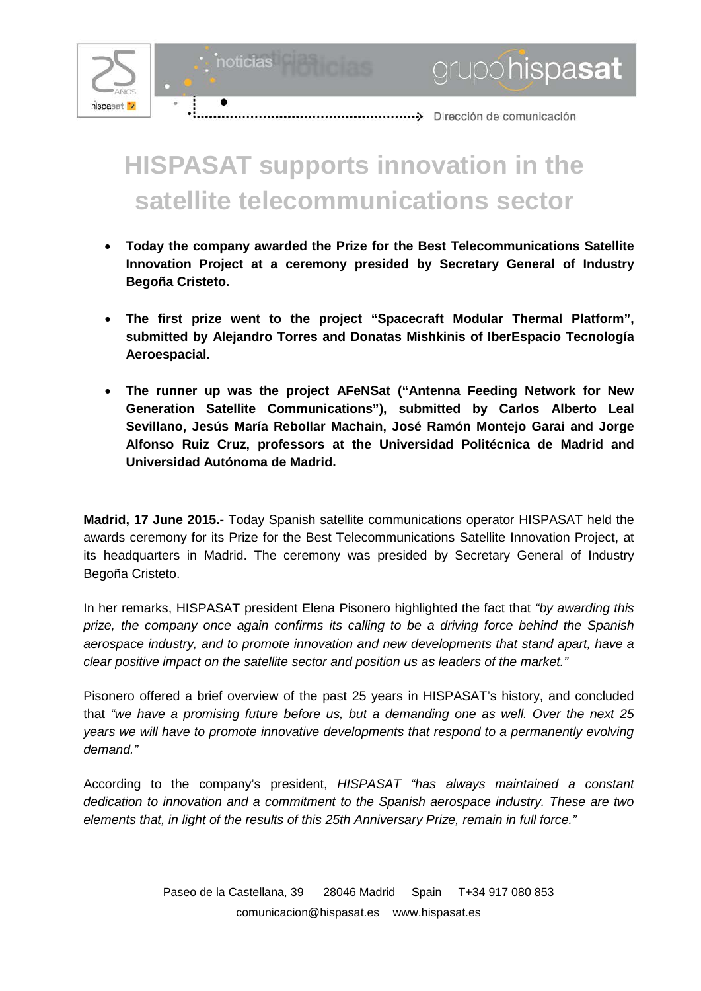

noticias

grupóhispasat

## **HISPASAT supports innovation in the satellite telecommunications sector**

- **Today the company awarded the Prize for the Best Telecommunications Satellite Innovation Project at a ceremony presided by Secretary General of Industry Begoña Cristeto.**
- **The first prize went to the project "Spacecraft Modular Thermal Platform", submitted by Alejandro Torres and Donatas Mishkinis of IberEspacio Tecnología Aeroespacial.**
- **The runner up was the project AFeNSat ("Antenna Feeding Network for New Generation Satellite Communications"), submitted by Carlos Alberto Leal Sevillano, Jesús María Rebollar Machain, José Ramón Montejo Garai and Jorge Alfonso Ruiz Cruz, professors at the Universidad Politécnica de Madrid and Universidad Autónoma de Madrid.**

**Madrid, 17 June 2015.-** Today Spanish satellite communications operator HISPASAT held the awards ceremony for its Prize for the Best Telecommunications Satellite Innovation Project, at its headquarters in Madrid. The ceremony was presided by Secretary General of Industry Begoña Cristeto.

In her remarks, HISPASAT president Elena Pisonero highlighted the fact that *"by awarding this prize, the company once again confirms its calling to be a driving force behind the Spanish aerospace industry, and to promote innovation and new developments that stand apart, have a clear positive impact on the satellite sector and position us as leaders of the market."*

Pisonero offered a brief overview of the past 25 years in HISPASAT's history, and concluded that *"we have a promising future before us, but a demanding one as well. Over the next 25 years we will have to promote innovative developments that respond to a permanently evolving demand."*

According to the company's president, *HISPASAT "has always maintained a constant dedication to innovation and a commitment to the Spanish aerospace industry. These are two elements that, in light of the results of this 25th Anniversary Prize, remain in full force."*